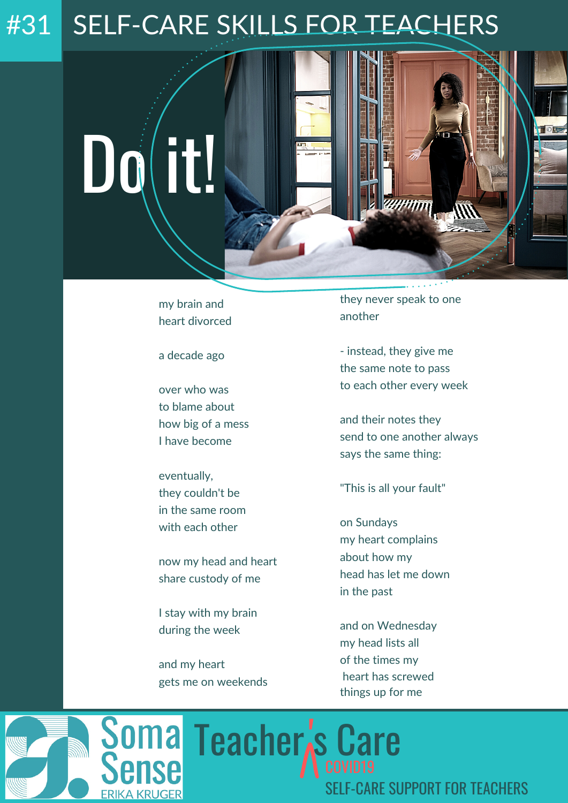# $\begin{bmatrix} 1 \\ -1 \end{bmatrix}$ #31 SELF-CARE SKILLS FOR TEACHERS

my brain and heart divorced

Do it!

a decade ago

over who was to blame about how big of a mess I have become

eventually, they couldn't be in the same room with each other

now my head and heart share custody of me

I stay with my brain during the week

and my heart gets me on weekends they never speak to one another

- instead, they give me the same note to pass to each other every week

and their notes they send to one another always says the same thing:

"This is all your fault"

on Sundays my heart complains about how my head has let me down in the past

and on Wednesday my head lists all of the times my heart has screwed things up for me

Teacher<sub>s</sub> s Care SELF-CARE SUPPORT FOR TEACHERS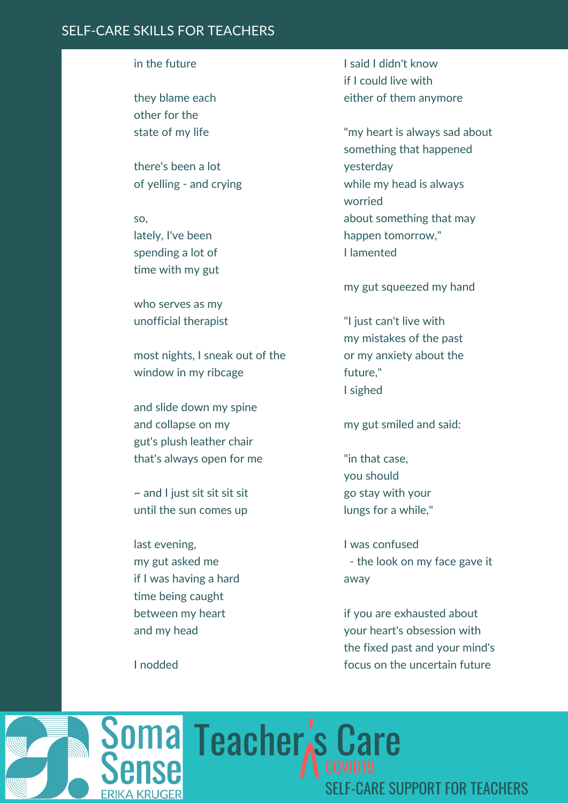### SELF-CARE SKILLS FOR TEACHERS

#### in the future

they blame each other for the state of my life

there's been a lot of yelling - and crying

so, lately, I've been spending a lot of time with my gut

who serves as my unofficial therapist

most nights, I sneak out of the window in my ribcage

and slide down my spine and collapse on my gut's plush leather chair that's always open for me

~ and I just sit sit sit sit until the sun comes up

last evening, my gut asked me if I was having a hard time being caught between my heart and my head

I nodded

I said I didn't know if I could live with either of them anymore

"my heart is always sad about something that happened yesterday while my head is always worried about something that may happen tomorrow," I lamented

my gut squeezed my hand

"I just can't live with my mistakes of the past or my anxiety about the future," I sighed

my gut smiled and said:

"in that case, you should go stay with your lungs for a while,"

I was confused - the look on my face gave it away

if you are exhausted about your heart's obsession with the fixed past and your mind's focus on the uncertain future

Teacher<sub>s</sub> s Care SELF-CARE SUPPORT FOR TEACHERS